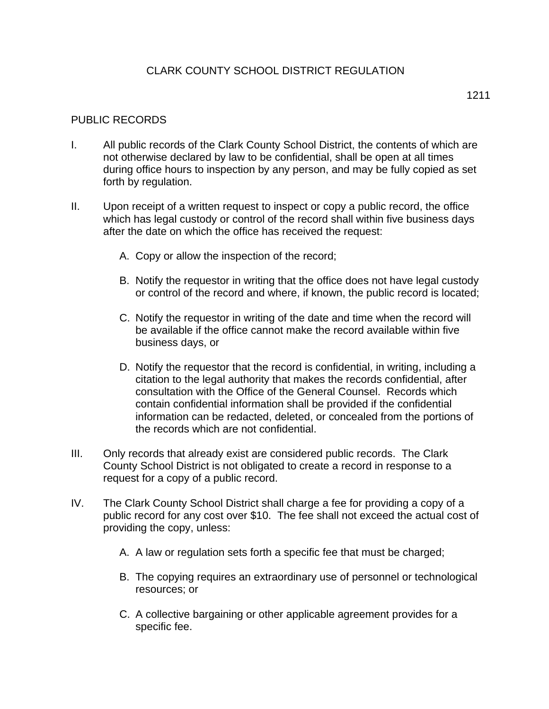## CLARK COUNTY SCHOOL DISTRICT REGULATION

## PUBLIC RECORDS

- I. All public records of the Clark County School District, the contents of which are not otherwise declared by law to be confidential, shall be open at all times during office hours to inspection by any person, and may be fully copied as set forth by regulation.
- II. Upon receipt of a written request to inspect or copy a public record, the office which has legal custody or control of the record shall within five business days after the date on which the office has received the request:
	- A. Copy or allow the inspection of the record;
	- B. Notify the requestor in writing that the office does not have legal custody or control of the record and where, if known, the public record is located;
	- C. Notify the requestor in writing of the date and time when the record will be available if the office cannot make the record available within five business days, or
	- D. Notify the requestor that the record is confidential, in writing, including a citation to the legal authority that makes the records confidential, after consultation with the Office of the General Counsel. Records which contain confidential information shall be provided if the confidential information can be redacted, deleted, or concealed from the portions of the records which are not confidential.
- III. Only records that already exist are considered public records. The Clark County School District is not obligated to create a record in response to a request for a copy of a public record.
- IV. The Clark County School District shall charge a fee for providing a copy of a public record for any cost over \$10. The fee shall not exceed the actual cost of providing the copy, unless:
	- A. A law or regulation sets forth a specific fee that must be charged;
	- B. The copying requires an extraordinary use of personnel or technological resources; or
	- C. A collective bargaining or other applicable agreement provides for a specific fee.